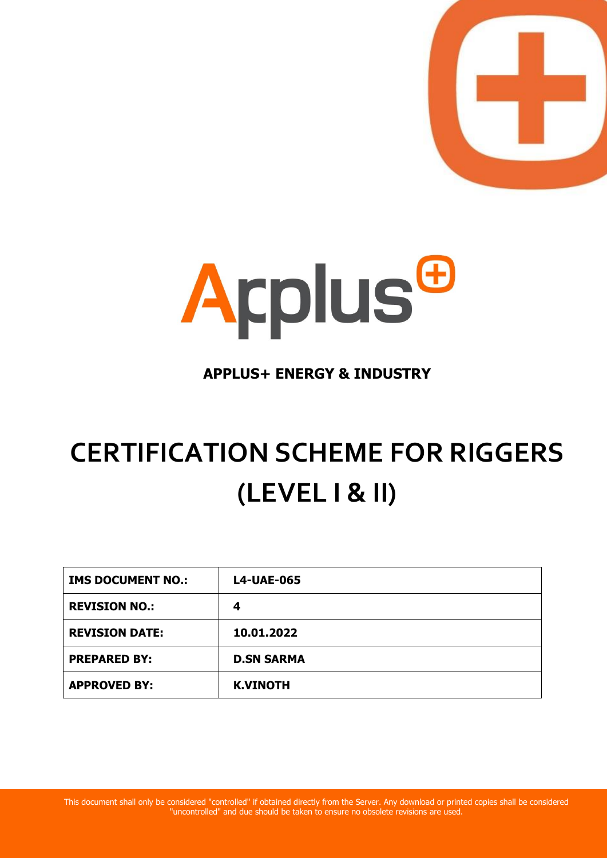



# **APPLUS+ ENERGY & INDUSTRY**

# **CERTIFICATION SCHEME FOR RIGGERS (LEVEL I & II)**

| <b>IMS DOCUMENT NO.:</b> | <b>L4-UAE-065</b> |
|--------------------------|-------------------|
| <b>REVISION NO.:</b>     | 4                 |
| <b>REVISION DATE:</b>    | 10.01.2022        |
| <b>PREPARED BY:</b>      | <b>D.SN SARMA</b> |
| <b>APPROVED BY:</b>      | <b>K.VINOTH</b>   |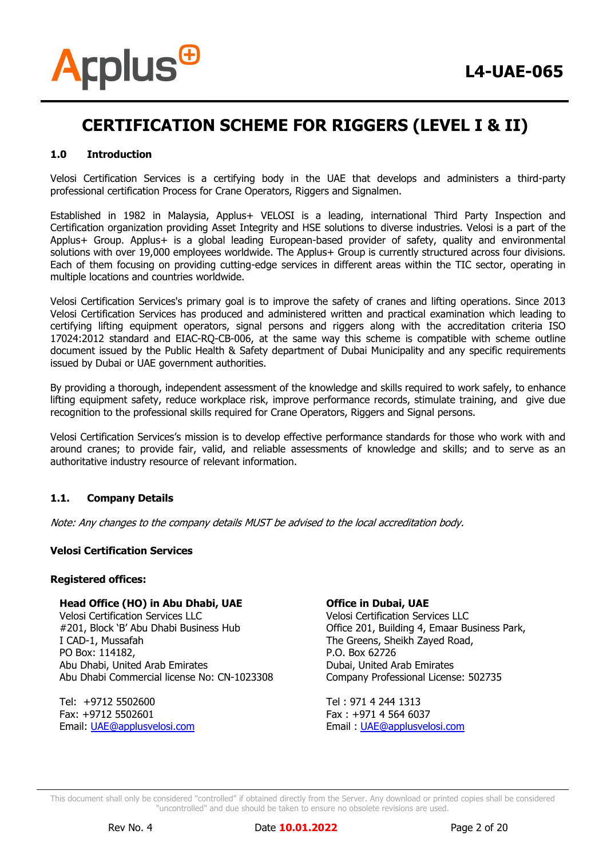

# **1.0 Introduction**

Velosi Certification Services is a certifying body in the UAE that develops and administers a third-party professional certification Process for Crane Operators, Riggers and Signalmen.

Established in 1982 in Malaysia, Applus+ VELOSI is a leading, international Third Party Inspection and Certification organization providing Asset Integrity and HSE solutions to diverse industries. Velosi is a part of the Applus+ Group. Applus+ is a global leading European-based provider of safety, quality and environmental solutions with over 19,000 employees worldwide. The Applus+ Group is currently structured across four divisions. Each of them focusing on providing cutting-edge services in different areas within the TIC sector, operating in multiple locations and countries worldwide.

Velosi Certification Services's primary goal is to improve the safety of cranes and lifting operations. Since 2013 Velosi Certification Services has produced and administered written and practical examination which leading to certifying lifting equipment operators, signal persons and riggers along with the accreditation criteria ISO 17024:2012 standard and EIAC-RQ-CB-006, at the same way this scheme is compatible with scheme outline document issued by the Public Health & Safety department of Dubai Municipality and any specific requirements issued by Dubai or UAE government authorities.

By providing a thorough, independent assessment of the knowledge and skills required to work safely, to enhance lifting equipment safety, reduce workplace risk, improve performance records, stimulate training, and give due recognition to the professional skills required for Crane Operators, Riggers and Signal persons.

Velosi Certification Services's mission is to develop effective performance standards for those who work with and around cranes; to provide fair, valid, and reliable assessments of knowledge and skills; and to serve as an authoritative industry resource of relevant information.

### **1.1. Company Details**

Note: Any changes to the company details MUST be advised to the local accreditation body.

### **Velosi Certification Services**

### **Registered offices:**

### **Head Office (HO) in Abu Dhabi, UAE**

Velosi Certification Services LLC #201, Block 'B' Abu Dhabi Business Hub I CAD-1, Mussafah PO Box: 114182, Abu Dhabi, United Arab Emirates Abu Dhabi Commercial license No: CN-1023308

Tel: +9712 5502600 Fax: +9712 5502601 Email: [UAE@applusvelosi.com](mailto:UAE@applusvelosi.com)

### **Office in Dubai, UAE**

Velosi Certification Services LLC Office 201, Building 4, Emaar Business Park, The Greens, Sheikh Zayed Road, P.O. Box 62726 Dubai, United Arab Emirates Company Professional License: 502735

Tel : 971 4 244 1313 Fax : +971 4 564 6037 Email : [UAE@applusvelosi.com](mailto:UAE@applusvelosi.com)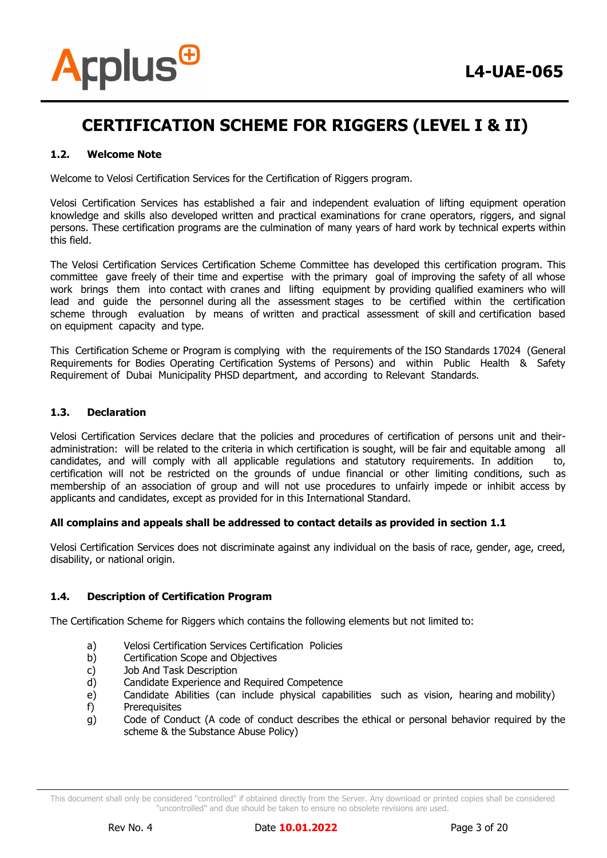

### **1.2. Welcome Note**

Welcome to Velosi Certification Services for the Certification of Riggers program.

Velosi Certification Services has established a fair and independent evaluation of lifting equipment operation knowledge and skills also developed written and practical examinations for crane operators, riggers, and signal persons. These certification programs are the culmination of many years of hard work by technical experts within this field.

The Velosi Certification Services Certification Scheme Committee has developed this certification program. This committee gave freely of their time and expertise with the primary goal of improving the safety of all whose work brings them into contact with cranes and lifting equipment by providing qualified examiners who will lead and guide the personnel during all the assessment stages to be certified within the certification scheme through evaluation by means of written and practical assessment of skill and certification based on equipment capacity and type.

This Certification Scheme or Program is complying with the requirements of the ISO Standards 17024 (General Requirements for Bodies Operating Certification Systems of Persons) and within Public Health & Safety Requirement of Dubai Municipality PHSD department, and according to Relevant Standards.

### **1.3. Declaration**

Velosi Certification Services declare that the policies and procedures of certification of persons unit and theiradministration: will be related to the criteria in which certification is sought, will be fair and equitable among all candidates, and will comply with all applicable regulations and statutory requirements. In addition to, certification will not be restricted on the grounds of undue financial or other limiting conditions, such as membership of an association of group and will not use procedures to unfairly impede or inhibit access by applicants and candidates, except as provided for in this International Standard.

### **All complains and appeals shall be addressed to contact details as provided in section 1.1**

Velosi Certification Services does not discriminate against any individual on the basis of race, gender, age, creed, disability, or national origin.

### **1.4. Description of Certification Program**

The Certification Scheme for Riggers which contains the following elements but not limited to:

- a) Velosi Certification Services Certification Policies
- b) Certification Scope and Objectives
- c) Job And Task Description
- d) Candidate Experience and Required Competence
- e) Candidate Abilities (can include physical capabilities such as vision, hearing and mobility)
- f) Prerequisites
- g) Code of Conduct (A code of conduct describes the ethical or personal behavior required by the scheme & the Substance Abuse Policy)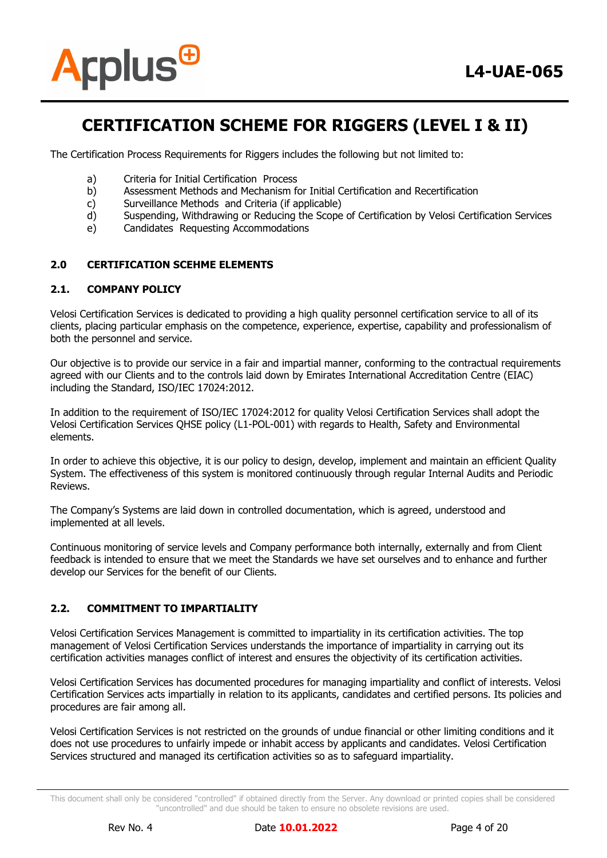

The Certification Process Requirements for Riggers includes the following but not limited to:

- a) Criteria for Initial Certification Process
- b) Assessment Methods and Mechanism for Initial Certification and Recertification
- c) Surveillance Methods and Criteria (if applicable)
- d) Suspending, Withdrawing or Reducing the Scope of Certification by Velosi Certification Services
- e) Candidates Requesting Accommodations

# **2.0 CERTIFICATION SCEHME ELEMENTS**

### **2.1. COMPANY POLICY**

Velosi Certification Services is dedicated to providing a high quality personnel certification service to all of its clients, placing particular emphasis on the competence, experience, expertise, capability and professionalism of both the personnel and service.

Our objective is to provide our service in a fair and impartial manner, conforming to the contractual requirements agreed with our Clients and to the controls laid down by Emirates International Accreditation Centre (EIAC) including the Standard, ISO/IEC 17024:2012.

In addition to the requirement of ISO/IEC 17024:2012 for quality Velosi Certification Services shall adopt the Velosi Certification Services QHSE policy (L1-POL-001) with regards to Health, Safety and Environmental elements.

In order to achieve this objective, it is our policy to design, develop, implement and maintain an efficient Quality System. The effectiveness of this system is monitored continuously through regular Internal Audits and Periodic Reviews.

The Company's Systems are laid down in controlled documentation, which is agreed, understood and implemented at all levels.

Continuous monitoring of service levels and Company performance both internally, externally and from Client feedback is intended to ensure that we meet the Standards we have set ourselves and to enhance and further develop our Services for the benefit of our Clients.

### **2.2. COMMITMENT TO IMPARTIALITY**

Velosi Certification Services Management is committed to impartiality in its certification activities. The top management of Velosi Certification Services understands the importance of impartiality in carrying out its certification activities manages conflict of interest and ensures the objectivity of its certification activities.

Velosi Certification Services has documented procedures for managing impartiality and conflict of interests. Velosi Certification Services acts impartially in relation to its applicants, candidates and certified persons. Its policies and procedures are fair among all.

Velosi Certification Services is not restricted on the grounds of undue financial or other limiting conditions and it does not use procedures to unfairly impede or inhabit access by applicants and candidates. Velosi Certification Services structured and managed its certification activities so as to safeguard impartiality.

This document shall only be considered "controlled" if obtained directly from the Server. Any download or printed copies shall be considered "uncontrolled" and due should be taken to ensure no obsolete revisions are used.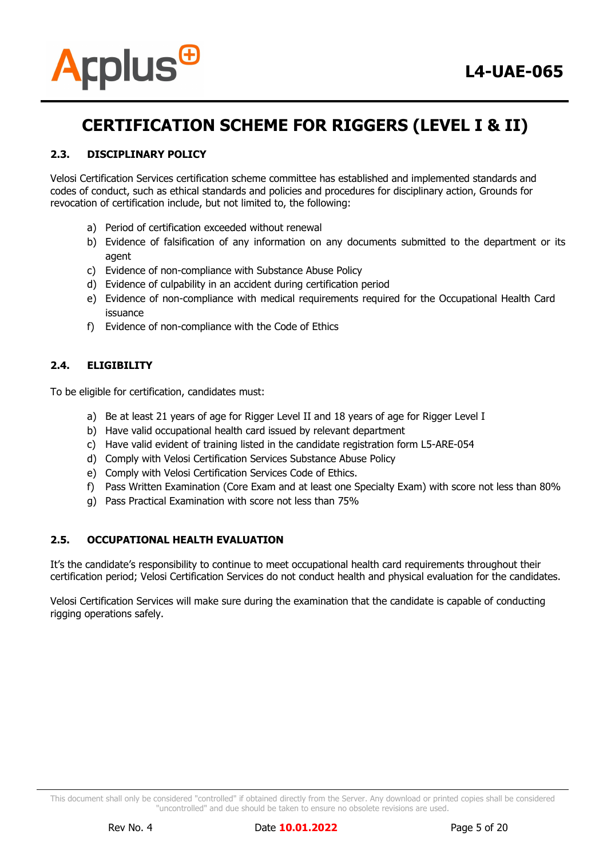

# **2.3. DISCIPLINARY POLICY**

Velosi Certification Services certification scheme committee has established and implemented standards and codes of conduct, such as ethical standards and policies and procedures for disciplinary action, Grounds for revocation of certification include, but not limited to, the following:

- a) Period of certification exceeded without renewal
- b) Evidence of falsification of any information on any documents submitted to the department or its agent
- c) Evidence of non-compliance with Substance Abuse Policy
- d) Evidence of culpability in an accident during certification period
- e) Evidence of non-compliance with medical requirements required for the Occupational Health Card issuance
- f) Evidence of non-compliance with the Code of Ethics

# **2.4. ELIGIBILITY**

To be eligible for certification, candidates must:

- a) Be at least 21 years of age for Rigger Level II and 18 years of age for Rigger Level I
- b) Have valid occupational health card issued by relevant department
- c) Have valid evident of training listed in the candidate registration form L5-ARE-054
- d) Comply with Velosi Certification Services Substance Abuse Policy
- e) Comply with Velosi Certification Services Code of Ethics.
- f) Pass Written Examination (Core Exam and at least one Specialty Exam) with score not less than 80%
- g) Pass Practical Examination with score not less than 75%

# **2.5. OCCUPATIONAL HEALTH EVALUATION**

It's the candidate's responsibility to continue to meet occupational health card requirements throughout their certification period; Velosi Certification Services do not conduct health and physical evaluation for the candidates.

Velosi Certification Services will make sure during the examination that the candidate is capable of conducting rigging operations safely.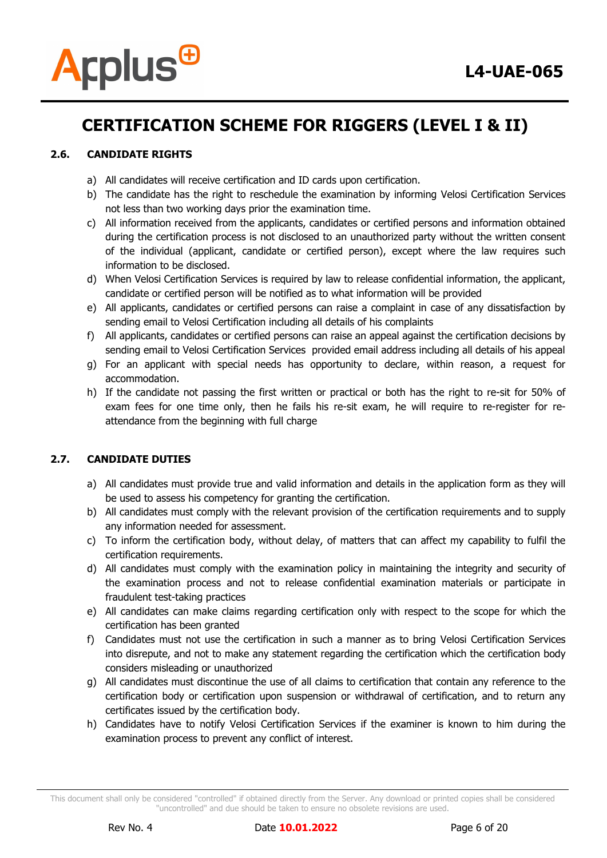

# **2.6. CANDIDATE RIGHTS**

- a) All candidates will receive certification and ID cards upon certification.
- b) The candidate has the right to reschedule the examination by informing Velosi Certification Services not less than two working days prior the examination time.
- c) All information received from the applicants, candidates or certified persons and information obtained during the certification process is not disclosed to an unauthorized party without the written consent of the individual (applicant, candidate or certified person), except where the law requires such information to be disclosed.
- d) When Velosi Certification Services is required by law to release confidential information, the applicant, candidate or certified person will be notified as to what information will be provided
- e) All applicants, candidates or certified persons can raise a complaint in case of any dissatisfaction by sending email to Velosi Certification including all details of his complaints
- f) All applicants, candidates or certified persons can raise an appeal against the certification decisions by sending email to Velosi Certification Services provided email address including all details of his appeal
- g) For an applicant with special needs has opportunity to declare, within reason, a request for accommodation.
- h) If the candidate not passing the first written or practical or both has the right to re-sit for 50% of exam fees for one time only, then he fails his re-sit exam, he will require to re-register for reattendance from the beginning with full charge

# **2.7. CANDIDATE DUTIES**

- a) All candidates must provide true and valid information and details in the application form as they will be used to assess his competency for granting the certification.
- b) All candidates must comply with the relevant provision of the certification requirements and to supply any information needed for assessment.
- c) To inform the certification body, without delay, of matters that can affect my capability to fulfil the certification requirements.
- d) All candidates must comply with the examination policy in maintaining the integrity and security of the examination process and not to release confidential examination materials or participate in fraudulent test-taking practices
- e) All candidates can make claims regarding certification only with respect to the scope for which the certification has been granted
- f) Candidates must not use the certification in such a manner as to bring Velosi Certification Services into disrepute, and not to make any statement regarding the certification which the certification body considers misleading or unauthorized
- g) All candidates must discontinue the use of all claims to certification that contain any reference to the certification body or certification upon suspension or withdrawal of certification, and to return any certificates issued by the certification body.
- h) Candidates have to notify Velosi Certification Services if the examiner is known to him during the examination process to prevent any conflict of interest.

This document shall only be considered "controlled" if obtained directly from the Server. Any download or printed copies shall be considered "uncontrolled" and due should be taken to ensure no obsolete revisions are used.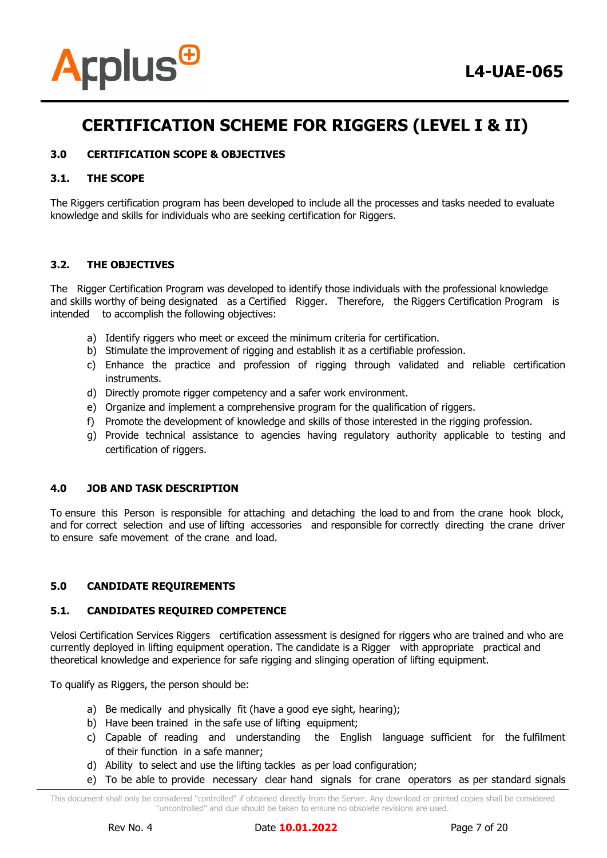

# **3.0 CERTIFICATION SCOPE & OBJECTIVES**

### **3.1. THE SCOPE**

The Riggers certification program has been developed to include all the processes and tasks needed to evaluate knowledge and skills for individuals who are seeking certification for Riggers.

# **3.2. THE OBJECTIVES**

The Rigger Certification Program was developed to identify those individuals with the professional knowledge and skills worthy of being designated as a Certified Rigger. Therefore, the Riggers Certification Program is intended to accomplish the following objectives:

- a) Identify riggers who meet or exceed the minimum criteria for certification.
- b) Stimulate the improvement of rigging and establish it as a certifiable profession.
- c) Enhance the practice and profession of rigging through validated and reliable certification instruments.
- d) Directly promote rigger competency and a safer work environment.
- e) Organize and implement a comprehensive program for the qualification of riggers.
- f) Promote the development of knowledge and skills of those interested in the rigging profession.
- g) Provide technical assistance to agencies having regulatory authority applicable to testing and certification of riggers.

### **4.0 JOB AND TASK DESCRIPTION**

To ensure this Person is responsible for attaching and detaching the load to and from the crane hook block, and for correct selection and use of lifting accessories and responsible for correctly directing the crane driver to ensure safe movement of the crane and load.

# **5.0 CANDIDATE REQUIREMENTS**

### **5.1. CANDIDATES REQUIRED COMPETENCE**

Velosi Certification Services Riggers certification assessment is designed for riggers who are trained and who are currently deployed in lifting equipment operation. The candidate is a Rigger with appropriate practical and theoretical knowledge and experience for safe rigging and slinging operation of lifting equipment.

To qualify as Riggers, the person should be:

- a) Be medically and physically fit (have a good eye sight, hearing);
- b) Have been trained in the safe use of lifting equipment;
- c) Capable of reading and understanding the English language sufficient for the fulfilment of their function in a safe manner;
- d) Ability to select and use the lifting tackles as per load configuration;
- e) To be able to provide necessary clear hand signals for crane operators as per standard signals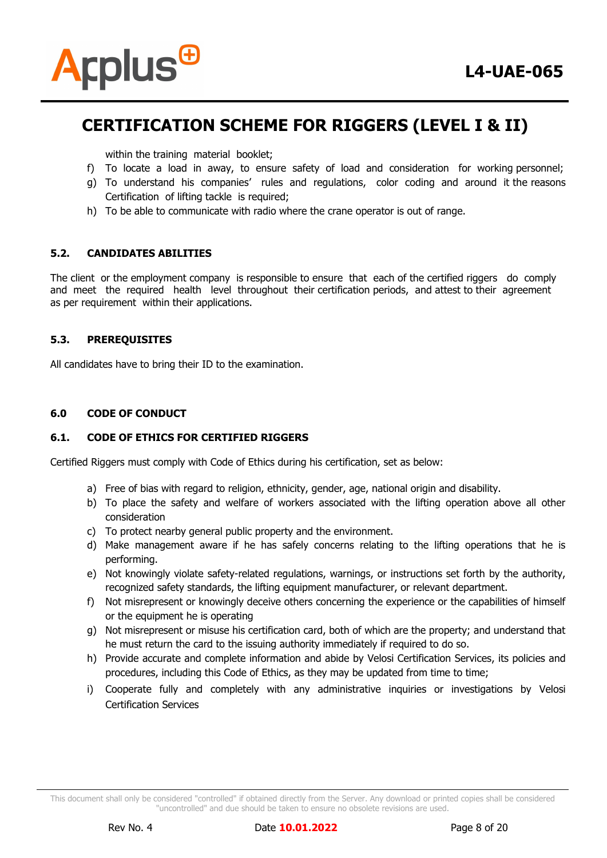

within the training material booklet;

- f) To locate a load in away, to ensure safety of load and consideration for working personnel;
- g) To understand his companies' rules and regulations, color coding and around it the reasons Certification of lifting tackle is required;
- h) To be able to communicate with radio where the crane operator is out of range.

### **5.2. CANDIDATES ABILITIES**

The client or the employment company is responsible to ensure that each of the certified riggers do comply and meet the required health level throughout their certification periods, and attest to their agreement as per requirement within their applications.

### **5.3. PREREQUISITES**

All candidates have to bring their ID to the examination.

### **6.0 CODE OF CONDUCT**

### **6.1. CODE OF ETHICS FOR CERTIFIED RIGGERS**

Certified Riggers must comply with Code of Ethics during his certification, set as below:

- a) Free of bias with regard to religion, ethnicity, gender, age, national origin and disability.
- b) To place the safety and welfare of workers associated with the lifting operation above all other consideration
- c) To protect nearby general public property and the environment.
- d) Make management aware if he has safely concerns relating to the lifting operations that he is performing.
- e) Not knowingly violate safety-related regulations, warnings, or instructions set forth by the authority, recognized safety standards, the lifting equipment manufacturer, or relevant department.
- f) Not misrepresent or knowingly deceive others concerning the experience or the capabilities of himself or the equipment he is operating
- g) Not misrepresent or misuse his certification card, both of which are the property; and understand that he must return the card to the issuing authority immediately if required to do so.
- h) Provide accurate and complete information and abide by Velosi Certification Services, its policies and procedures, including this Code of Ethics, as they may be updated from time to time;
- i) Cooperate fully and completely with any administrative inquiries or investigations by Velosi Certification Services

This document shall only be considered "controlled" if obtained directly from the Server. Any download or printed copies shall be considered "uncontrolled" and due should be taken to ensure no obsolete revisions are used.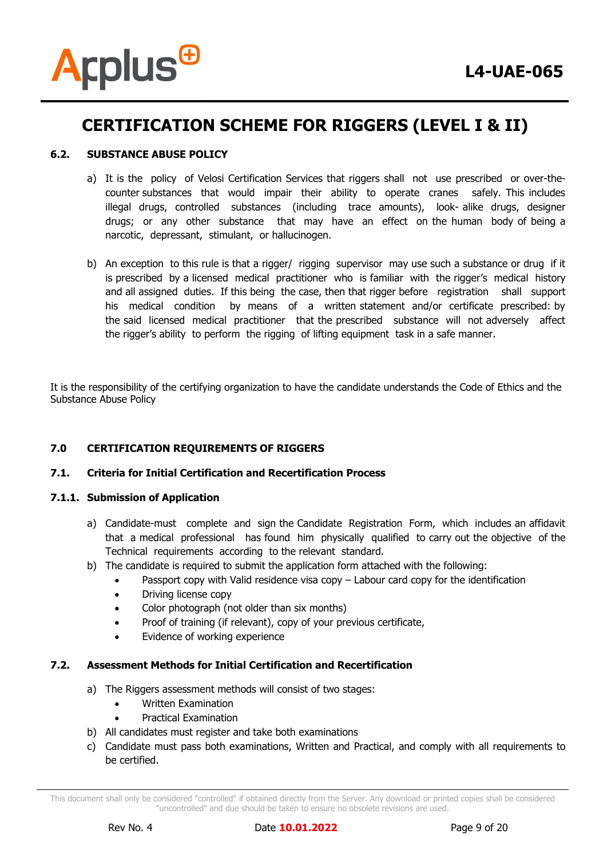

# **6.2. SUBSTANCE ABUSE POLICY**

- a) It is the policy of Velosi Certification Services that riggers shall not use prescribed or over-thecounter substances that would impair their ability to operate cranes safely. This includes illegal drugs, controlled substances (including trace amounts), look- alike drugs, designer drugs; or any other substance that may have an effect on the human body of being a narcotic, depressant, stimulant, or hallucinogen.
- b) An exception to this rule is that a rigger/ rigging supervisor may use such a substance or drug if it is prescribed by a licensed medical practitioner who is familiar with the rigger's medical history and all assigned duties. If this being the case, then that rigger before registration shall support his medical condition by means of a written statement and/or certificate prescribed: by the said licensed medical practitioner that the prescribed substance will not adversely affect the rigger's ability to perform the rigging of lifting equipment task in a safe manner.

It is the responsibility of the certifying organization to have the candidate understands the Code of Ethics and the Substance Abuse Policy

# **7.0 CERTIFICATION REQUIREMENTS OF RIGGERS**

### **7.1. Criteria for Initial Certification and Recertification Process**

### **7.1.1. Submission of Application**

- a) Candidate-must complete and sign the Candidate Registration Form, which includes an affidavit that a medical professional has found him physically qualified to carry out the objective of the Technical requirements according to the relevant standard.
- b) The candidate is required to submit the application form attached with the following:
	- Passport copy with Valid residence visa copy Labour card copy for the identification
	- Driving license copy
	- Color photograph (not older than six months)
	- Proof of training (if relevant), copy of your previous certificate,
	- Evidence of working experience

### **7.2. Assessment Methods for Initial Certification and Recertification**

- a) The Riggers assessment methods will consist of two stages:
	- Written Examination
	- Practical Examination
- b) All candidates must register and take both examinations
- c) Candidate must pass both examinations, Written and Practical, and comply with all requirements to be certified.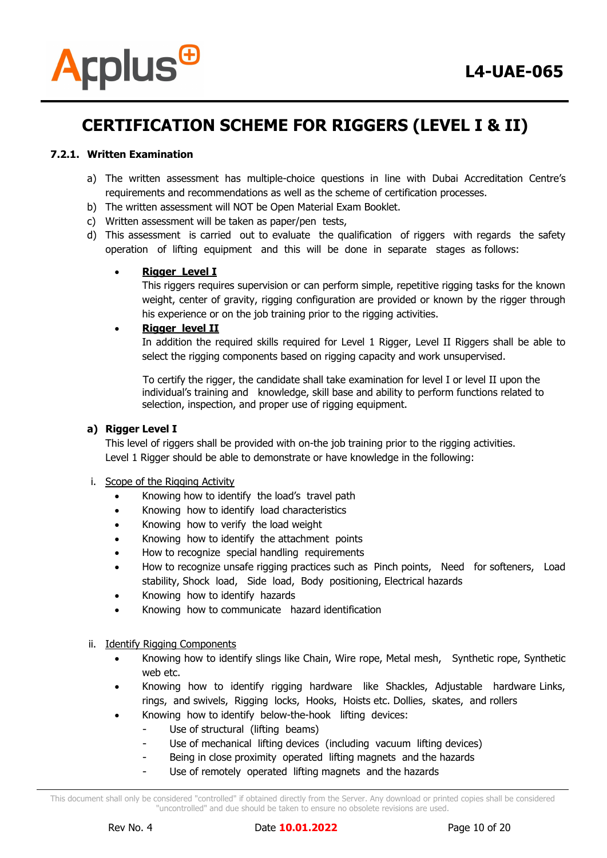

# **7.2.1. Written Examination**

- a) The written assessment has multiple-choice questions in line with Dubai Accreditation Centre's requirements and recommendations as well as the scheme of certification processes.
- b) The written assessment will NOT be Open Material Exam Booklet.
- c) Written assessment will be taken as paper/pen tests,
- d) This assessment is carried out to evaluate the qualification of riggers with regards the safety operation of lifting equipment and this will be done in separate stages as follows:

# **Rigger Level I**

This riggers requires supervision or can perform simple, repetitive rigging tasks for the known weight, center of gravity, rigging configuration are provided or known by the rigger through his experience or on the job training prior to the rigging activities.

# **Rigger level II**

In addition the required skills required for Level 1 Rigger, Level II Riggers shall be able to select the rigging components based on rigging capacity and work unsupervised.

 To certify the rigger, the candidate shall take examination for level I or level II upon the individual's training and knowledge, skill base and ability to perform functions related to selection, inspection, and proper use of rigging equipment.

### **a) Rigger Level I**

This level of riggers shall be provided with on-the job training prior to the rigging activities. Level 1 Rigger should be able to demonstrate or have knowledge in the following:

### i. Scope of the Rigging Activity

- Knowing how to identify the load's travel path
- Knowing how to identify load characteristics
- Knowing how to verify the load weight
- Knowing how to identify the attachment points
- How to recognize special handling requirements
- How to recognize unsafe rigging practices such as Pinch points, Need for softeners, Load stability, Shock load, Side load, Body positioning, Electrical hazards
- Knowing how to identify hazards
- Knowing how to communicate hazard identification

### ii. Identify Rigging Components

- Knowing how to identify slings like Chain, Wire rope, Metal mesh, Synthetic rope, Synthetic web etc.
- Knowing how to identify rigging hardware like Shackles, Adjustable hardware Links, rings, and swivels, Rigging locks, Hooks, Hoists etc. Dollies, skates, and rollers
- Knowing how to identify below-the-hook lifting devices:
	- Use of structural (lifting beams)
		- Use of mechanical lifting devices (including vacuum lifting devices)
		- Being in close proximity operated lifting magnets and the hazards
		- Use of remotely operated lifting magnets and the hazards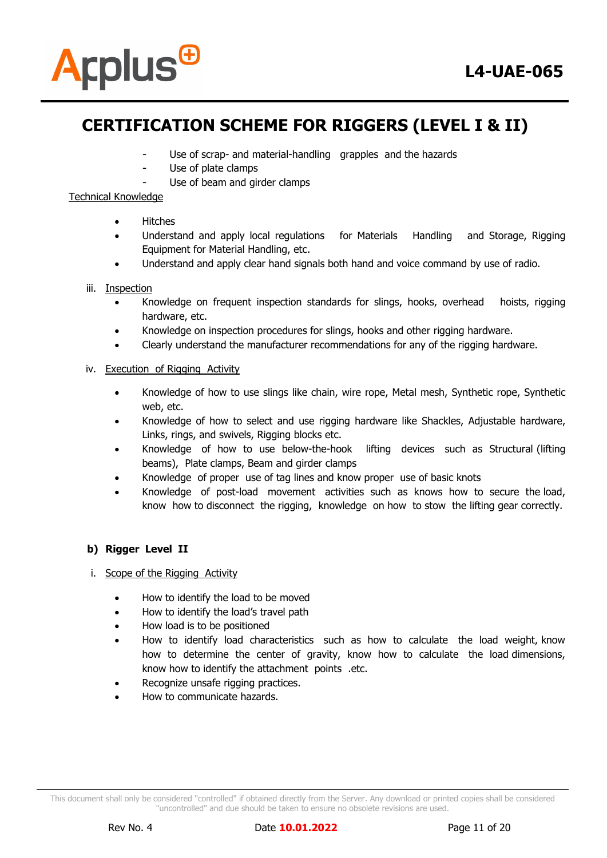

- Use of scrap- and material-handling grapples and the hazards
- Use of plate clamps
	- Use of beam and girder clamps

# Technical Knowledge

- Hitches
- Understand and apply local regulations for Materials Handling and Storage, Rigging Equipment for Material Handling, etc.
- Understand and apply clear hand signals both hand and voice command by use of radio.

# iii. Inspection

- Knowledge on frequent inspection standards for slings, hooks, overhead hoists, rigging hardware, etc.
- Knowledge on inspection procedures for slings, hooks and other rigging hardware.
- Clearly understand the manufacturer recommendations for any of the rigging hardware.

# iv. Execution of Rigging Activity

- Knowledge of how to use slings like chain, wire rope, Metal mesh, Synthetic rope, Synthetic web, etc.
- Knowledge of how to select and use rigging hardware like Shackles, Adjustable hardware, Links, rings, and swivels, Rigging blocks etc.
- Knowledge of how to use below-the-hook lifting devices such as Structural (lifting beams), Plate clamps, Beam and girder clamps
- Knowledge of proper use of tag lines and know proper use of basic knots
- Knowledge of post-load movement activities such as knows how to secure the load, know how to disconnect the rigging, knowledge on how to stow the lifting gear correctly.

# **b) Rigger Level II**

- i. Scope of the Rigging Activity
	- How to identify the load to be moved
	- How to identify the load's travel path
	- How load is to be positioned
	- How to identify load characteristics such as how to calculate the load weight, know how to determine the center of gravity, know how to calculate the load dimensions, know how to identify the attachment points .etc.
	- Recognize unsafe rigging practices.
	- How to communicate hazards.

This document shall only be considered "controlled" if obtained directly from the Server. Any download or printed copies shall be considered "uncontrolled" and due should be taken to ensure no obsolete revisions are used.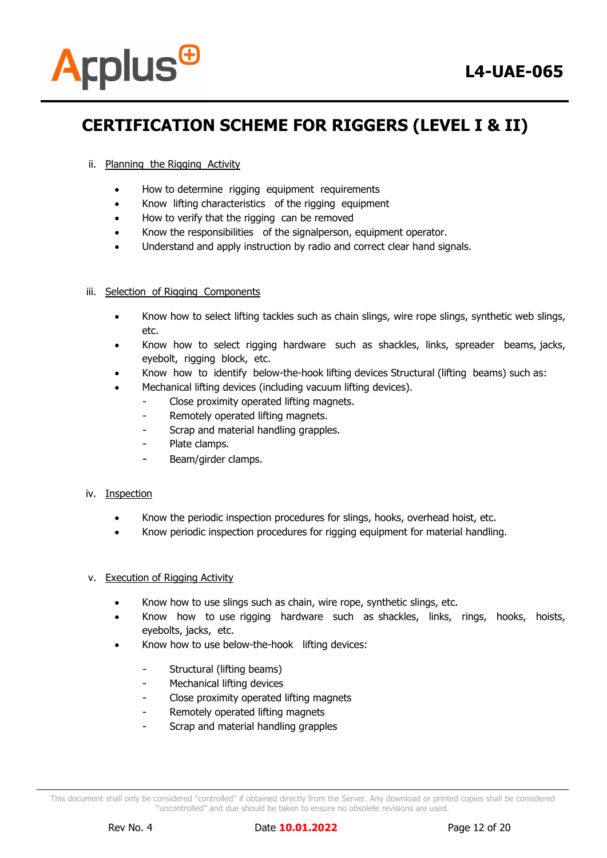

# ii. Planning the Rigging Activity

- How to determine rigging equipment requirements
- Know lifting characteristics of the rigging equipment
- How to verify that the rigging can be removed
- Know the responsibilities of the signalperson, equipment operator.
- Understand and apply instruction by radio and correct clear hand signals.

### iii. Selection of Rigging Components

- Know how to select lifting tackles such as chain slings, wire rope slings, synthetic web slings, etc.
- Know how to select rigging hardware such as shackles, links, spreader beams, jacks, eyebolt, rigging block, etc.
- Know how to identify below-the-hook lifting devices Structural (lifting beams) such as:
- Mechanical lifting devices (including vacuum lifting devices).
	- Close proximity operated lifting magnets.
	- Remotely operated lifting magnets.
	- Scrap and material handling grapples.
	- Plate clamps.
	- Beam/girder clamps.

### iv. Inspection

- Know the periodic inspection procedures for slings, hooks, overhead hoist, etc.
- Know periodic inspection procedures for rigging equipment for material handling.

### v. Execution of Rigging Activity

- Know how to use slings such as chain, wire rope, synthetic slings, etc.
- Know how to use rigging hardware such as shackles, links, rings, hooks, hoists, eyebolts, jacks, etc.
- Know how to use below-the-hook lifting devices:
	- Structural (lifting beams)
	- Mechanical lifting devices
	- Close proximity operated lifting magnets
	- Remotely operated lifting magnets
	- Scrap and material handling grapples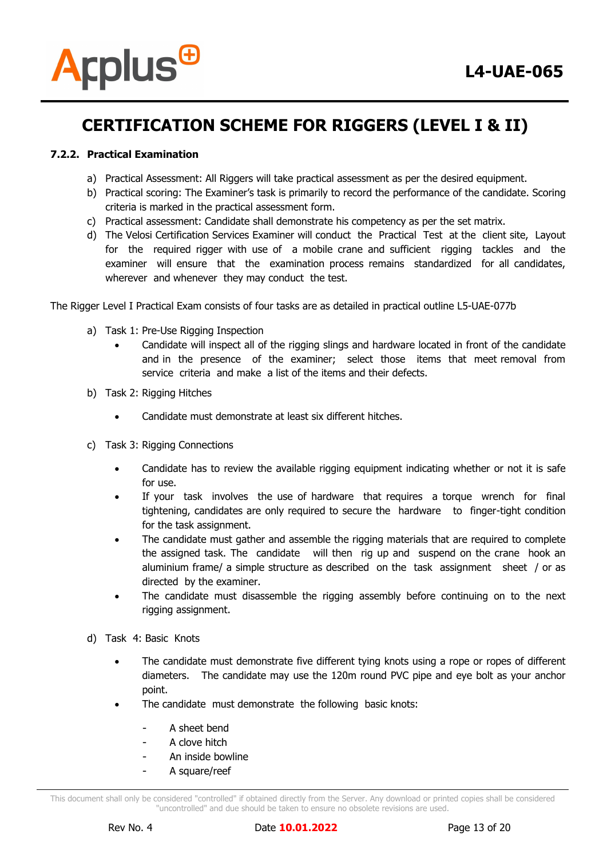

# **7.2.2. Practical Examination**

- a) Practical Assessment: All Riggers will take practical assessment as per the desired equipment.
- b) Practical scoring: The Examiner's task is primarily to record the performance of the candidate. Scoring criteria is marked in the practical assessment form.
- c) Practical assessment: Candidate shall demonstrate his competency as per the set matrix.
- d) The Velosi Certification Services Examiner will conduct the Practical Test at the client site, Layout for the required rigger with use of a mobile crane and sufficient rigging tackles and the examiner will ensure that the examination process remains standardized for all candidates, wherever and whenever they may conduct the test.

The Rigger Level I Practical Exam consists of four tasks are as detailed in practical outline L5-UAE-077b

- a) Task 1: Pre-Use Rigging Inspection
	- Candidate will inspect all of the rigging slings and hardware located in front of the candidate and in the presence of the examiner; select those items that meet removal from service criteria and make a list of the items and their defects.
- b) Task 2: Rigging Hitches
	- Candidate must demonstrate at least six different hitches.
- c) Task 3: Rigging Connections
	- Candidate has to review the available rigging equipment indicating whether or not it is safe for use.
	- If your task involves the use of hardware that requires a torque wrench for final tightening, candidates are only required to secure the hardware to finger-tight condition for the task assignment.
	- The candidate must gather and assemble the rigging materials that are required to complete the assigned task. The candidate will then rig up and suspend on the crane hook an aluminium frame/ a simple structure as described on the task assignment sheet / or as directed by the examiner.
	- The candidate must disassemble the rigging assembly before continuing on to the next rigging assignment.
- d) Task 4: Basic Knots
	- The candidate must demonstrate five different tying knots using a rope or ropes of different diameters. The candidate may use the 120m round PVC pipe and eye bolt as your anchor point.
	- The candidate must demonstrate the following basic knots:
		- A sheet bend
		- A clove hitch
		- An inside bowline
		- A square/reef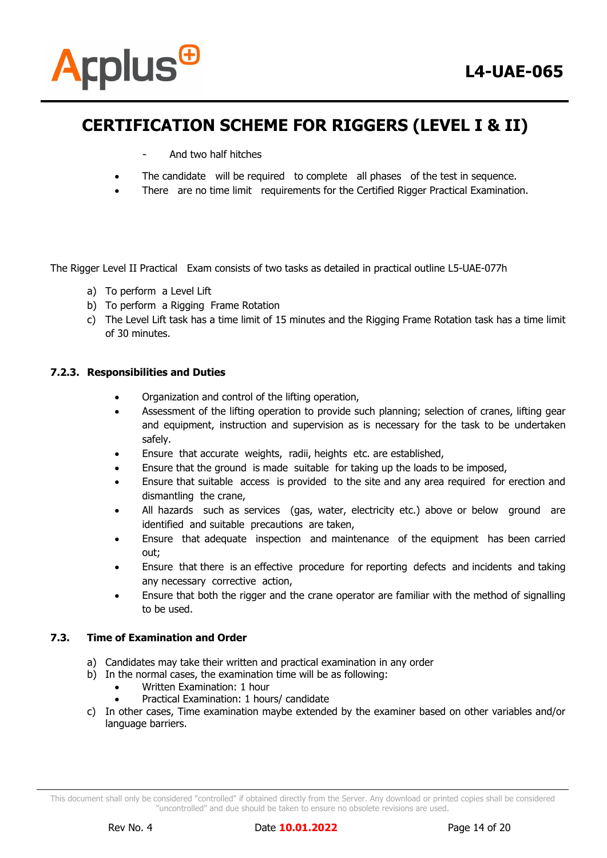

- And two half hitches
- The candidate will be required to complete all phases of the test in sequence.
- There are no time limit requirements for the Certified Rigger Practical Examination.

The Rigger Level II Practical Exam consists of two tasks as detailed in practical outline L5-UAE-077h

- a) To perform a Level Lift
- b) To perform a Rigging Frame Rotation
- c) The Level Lift task has a time limit of 15 minutes and the Rigging Frame Rotation task has a time limit of 30 minutes.

# **7.2.3. Responsibilities and Duties**

- Organization and control of the lifting operation,
- Assessment of the lifting operation to provide such planning; selection of cranes, lifting gear and equipment, instruction and supervision as is necessary for the task to be undertaken safely.
- Ensure that accurate weights, radii, heights etc. are established,
- Ensure that the ground is made suitable for taking up the loads to be imposed,
- Ensure that suitable access is provided to the site and any area required for erection and dismantling the crane,
- All hazards such as services (gas, water, electricity etc.) above or below ground are identified and suitable precautions are taken,
- Ensure that adequate inspection and maintenance of the equipment has been carried out;
- Ensure that there is an effective procedure for reporting defects and incidents and taking any necessary corrective action,
- Ensure that both the rigger and the crane operator are familiar with the method of signalling to be used.

### **7.3. Time of Examination and Order**

- a) Candidates may take their written and practical examination in any order
- b) In the normal cases, the examination time will be as following:
	- Written Examination: 1 hour
	- Practical Examination: 1 hours/ candidate
- c) In other cases, Time examination maybe extended by the examiner based on other variables and/or language barriers.

This document shall only be considered "controlled" if obtained directly from the Server. Any download or printed copies shall be considered "uncontrolled" and due should be taken to ensure no obsolete revisions are used.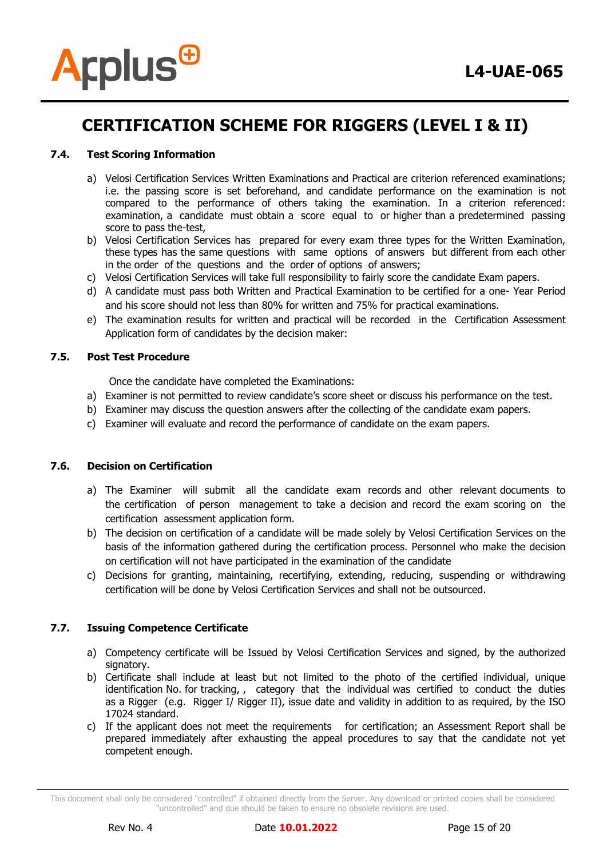

### **7.4. Test Scoring Information**

- a) Velosi Certification Services Written Examinations and Practical are criterion referenced examinations; i.e. the passing score is set beforehand, and candidate performance on the examination is not compared to the performance of others taking the examination. In a criterion referenced: examination, a candidate must obtain a score equal to or higher than a predetermined passing score to pass the-test,
- b) Velosi Certification Services has prepared for every exam three types for the Written Examination, these types has the same questions with same options of answers but different from each other in the order of the questions and the order of options of answers;
- c) Velosi Certification Services will take full responsibility to fairly score the candidate Exam papers.
- d) A candidate must pass both Written and Practical Examination to be certified for a one- Year Period and his score should not less than 80% for written and 75% for practical examinations.
- e) The examination results for written and practical will be recorded in the Certification Assessment Application form of candidates by the decision maker:

# **7.5. Post Test Procedure**

Once the candidate have completed the Examinations:

- a) Examiner is not permitted to review candidate's score sheet or discuss his performance on the test.
- b) Examiner may discuss the question answers after the collecting of the candidate exam papers.
- c) Examiner will evaluate and record the performance of candidate on the exam papers.

### **7.6. Decision on Certification**

- a) The Examiner will submit all the candidate exam records and other relevant documents to the certification of person management to take a decision and record the exam scoring on the certification assessment application form.
- b) The decision on certification of a candidate will be made solely by Velosi Certification Services on the basis of the information gathered during the certification process. Personnel who make the decision on certification will not have participated in the examination of the candidate
- c) Decisions for granting, maintaining, recertifying, extending, reducing, suspending or withdrawing certification will be done by Velosi Certification Services and shall not be outsourced.

### **7.7. Issuing Competence Certificate**

- a) Competency certificate will be Issued by Velosi Certification Services and signed, by the authorized signatory.
- b) Certificate shall include at least but not limited to the photo of the certified individual, unique identification No. for tracking, , category that the individual was certified to conduct the duties as a Rigger (e.g. Rigger I/ Rigger II), issue date and validity in addition to as required, by the ISO 17024 standard.
- c) If the applicant does not meet the requirements for certification; an Assessment Report shall be prepared immediately after exhausting the appeal procedures to say that the candidate not yet competent enough.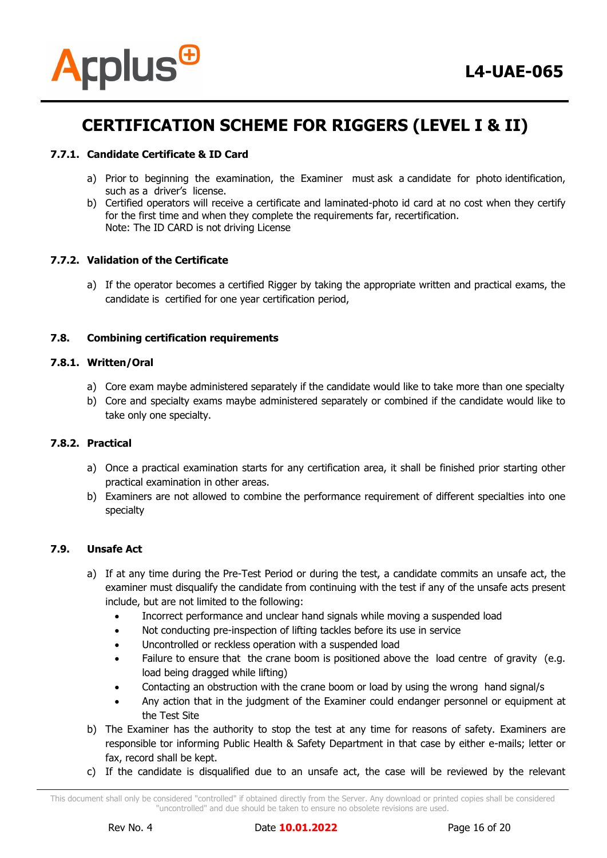

# **7.7.1. Candidate Certificate & ID Card**

- a) Prior to beginning the examination, the Examiner must ask a candidate for photo identification, such as a driver's license.
- b) Certified operators will receive a certificate and laminated-photo id card at no cost when they certify for the first time and when they complete the requirements far, recertification. Note: The ID CARD is not driving License

### **7.7.2. Validation of the Certificate**

a) If the operator becomes a certified Rigger by taking the appropriate written and practical exams, the candidate is certified for one year certification period,

# **7.8. Combining certification requirements**

### **7.8.1. Written/Oral**

- a) Core exam maybe administered separately if the candidate would like to take more than one specialty
- b) Core and specialty exams maybe administered separately or combined if the candidate would like to take only one specialty.

### **7.8.2. Practical**

- a) Once a practical examination starts for any certification area, it shall be finished prior starting other practical examination in other areas.
- b) Examiners are not allowed to combine the performance requirement of different specialties into one specialty

### **7.9. Unsafe Act**

- a) If at any time during the Pre-Test Period or during the test, a candidate commits an unsafe act, the examiner must disqualify the candidate from continuing with the test if any of the unsafe acts present include, but are not limited to the following:
	- Incorrect performance and unclear hand signals while moving a suspended load
	- Not conducting pre-inspection of lifting tackles before its use in service
	- Uncontrolled or reckless operation with a suspended load
	- Failure to ensure that the crane boom is positioned above the load centre of gravity (e.g. load being dragged while lifting)
	- Contacting an obstruction with the crane boom or load by using the wrong hand signal/s
	- Any action that in the judgment of the Examiner could endanger personnel or equipment at the Test Site
- b) The Examiner has the authority to stop the test at any time for reasons of safety. Examiners are responsible tor informing Public Health & Safety Department in that case by either e-mails; letter or fax, record shall be kept.
- c) If the candidate is disqualified due to an unsafe act, the case will be reviewed by the relevant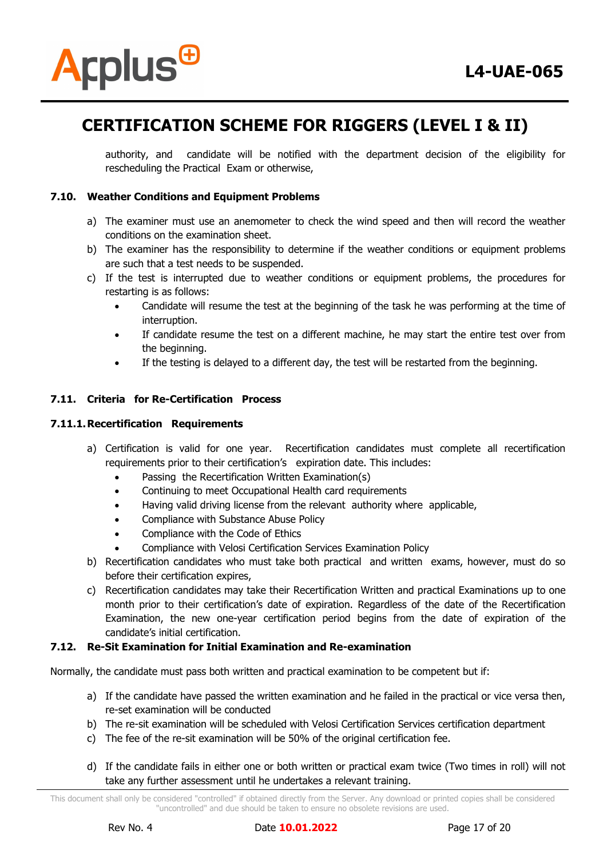

authority, and candidate will be notified with the department decision of the eligibility for rescheduling the Practical Exam or otherwise,

### **7.10. Weather Conditions and Equipment Problems**

- a) The examiner must use an anemometer to check the wind speed and then will record the weather conditions on the examination sheet.
- b) The examiner has the responsibility to determine if the weather conditions or equipment problems are such that a test needs to be suspended.
- c) If the test is interrupted due to weather conditions or equipment problems, the procedures for restarting is as follows:
	- Candidate will resume the test at the beginning of the task he was performing at the time of interruption.
	- If candidate resume the test on a different machine, he may start the entire test over from the beginning.
	- If the testing is delayed to a different day, the test will be restarted from the beginning.

# **7.11. Criteria for Re-Certification Process**

### **7.11.1.Recertification Requirements**

- a) Certification is valid for one year. Recertification candidates must complete all recertification requirements prior to their certification's expiration date. This includes:
	- Passing the Recertification Written Examination(s)
	- Continuing to meet Occupational Health card requirements
	- Having valid driving license from the relevant authority where applicable,
	- Compliance with Substance Abuse Policy
	- Compliance with the Code of Ethics
	- Compliance with Velosi Certification Services Examination Policy
- b) Recertification candidates who must take both practical and written exams, however, must do so before their certification expires,
- c) Recertification candidates may take their Recertification Written and practical Examinations up to one month prior to their certification's date of expiration. Regardless of the date of the Recertification Examination, the new one-year certification period begins from the date of expiration of the candidate's initial certification.

### **7.12. Re-Sit Examination for Initial Examination and Re-examination**

Normally, the candidate must pass both written and practical examination to be competent but if:

- a) If the candidate have passed the written examination and he failed in the practical or vice versa then, re-set examination will be conducted
- b) The re-sit examination will be scheduled with Velosi Certification Services certification department
- c) The fee of the re-sit examination will be 50% of the original certification fee.
- d) If the candidate fails in either one or both written or practical exam twice (Two times in roll) will not take any further assessment until he undertakes a relevant training.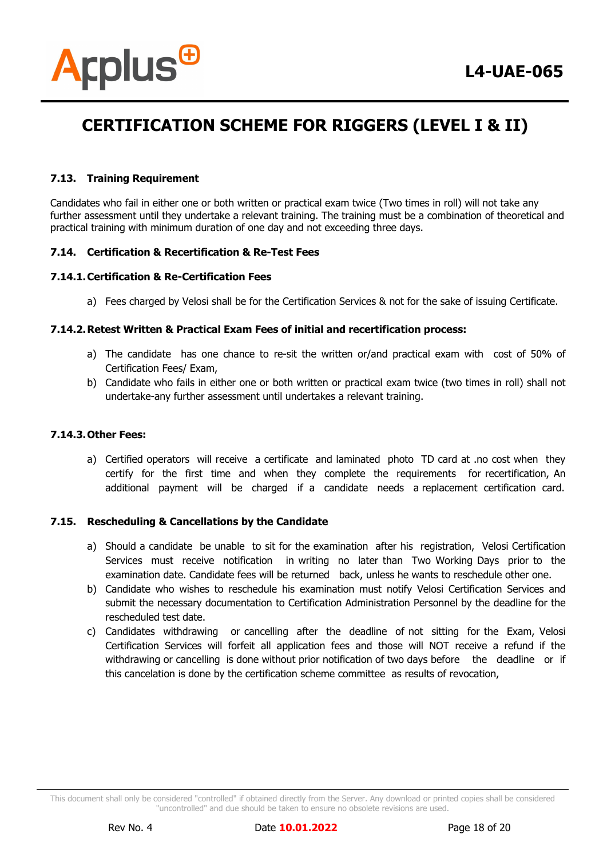

### **7.13. Training Requirement**

Candidates who fail in either one or both written or practical exam twice (Two times in roll) will not take any further assessment until they undertake a relevant training. The training must be a combination of theoretical and practical training with minimum duration of one day and not exceeding three days.

# **7.14. Certification & Recertification & Re-Test Fees**

# **7.14.1.Certification & Re-Certification Fees**

a) Fees charged by Velosi shall be for the Certification Services & not for the sake of issuing Certificate.

# **7.14.2.Retest Written & Practical Exam Fees of initial and recertification process:**

- a) The candidate has one chance to re-sit the written or/and practical exam with cost of 50% of Certification Fees/ Exam,
- b) Candidate who fails in either one or both written or practical exam twice (two times in roll) shall not undertake-any further assessment until undertakes a relevant training.

### **7.14.3.Other Fees:**

a) Certified operators will receive a certificate and laminated photo TD card at .no cost when they certify for the first time and when they complete the requirements for recertification, An additional payment will be charged if a candidate needs a replacement certification card.

# **7.15. Rescheduling & Cancellations by the Candidate**

- a) Should a candidate be unable to sit for the examination after his registration, Velosi Certification Services must receive notification in writing no later than Two Working Days prior to the examination date. Candidate fees will be returned back, unless he wants to reschedule other one.
- b) Candidate who wishes to reschedule his examination must notify Velosi Certification Services and submit the necessary documentation to Certification Administration Personnel by the deadline for the rescheduled test date.
- c) Candidates withdrawing or cancelling after the deadline of not sitting for the Exam, Velosi Certification Services will forfeit all application fees and those will NOT receive a refund if the withdrawing or cancelling is done without prior notification of two days before the deadline or if this cancelation is done by the certification scheme committee as results of revocation,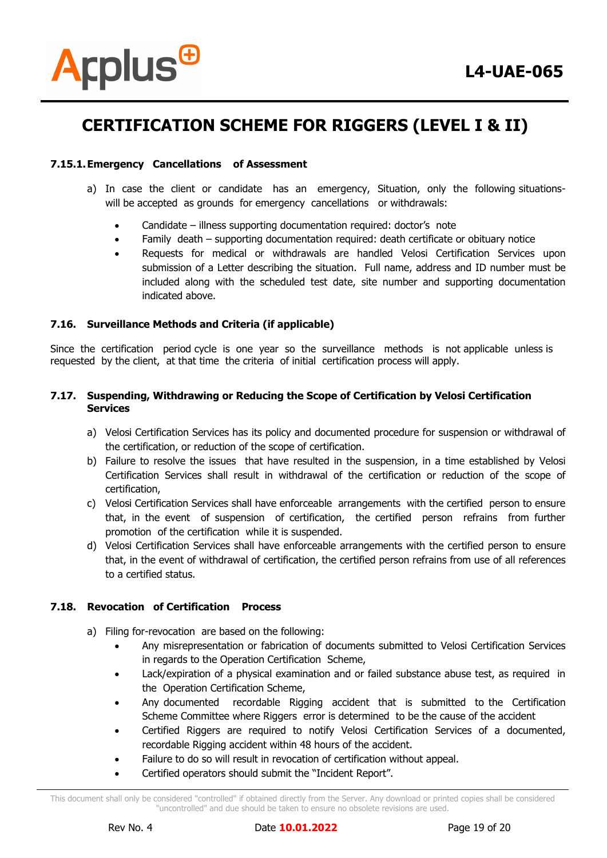

### **7.15.1.Emergency Cancellations of Assessment**

- a) In case the client or candidate has an emergency, Situation, only the following situationswill be accepted as grounds for emergency cancellations or withdrawals:
	- Candidate illness supporting documentation required: doctor's note
	- Family death supporting documentation required: death certificate or obituary notice
	- Requests for medical or withdrawals are handled Velosi Certification Services upon submission of a Letter describing the situation. Full name, address and ID number must be included along with the scheduled test date, site number and supporting documentation indicated above.

### **7.16. Surveillance Methods and Criteria (if applicable)**

Since the certification period cycle is one year so the surveillance methods is not applicable unless is requested by the client, at that time the criteria of initial certification process will apply.

### **7.17. Suspending, Withdrawing or Reducing the Scope of Certification by Velosi Certification Services**

- a) Velosi Certification Services has its policy and documented procedure for suspension or withdrawal of the certification, or reduction of the scope of certification.
- b) Failure to resolve the issues that have resulted in the suspension, in a time established by Velosi Certification Services shall result in withdrawal of the certification or reduction of the scope of certification,
- c) Velosi Certification Services shall have enforceable arrangements with the certified person to ensure that, in the event of suspension of certification, the certified person refrains from further promotion of the certification while it is suspended.
- d) Velosi Certification Services shall have enforceable arrangements with the certified person to ensure that, in the event of withdrawal of certification, the certified person refrains from use of all references to a certified status.

### **7.18. Revocation of Certification Process**

- a) Filing for-revocation are based on the following:
	- Any misrepresentation or fabrication of documents submitted to Velosi Certification Services in regards to the Operation Certification Scheme,
	- Lack/expiration of a physical examination and or failed substance abuse test, as required in the Operation Certification Scheme,
	- Any documented recordable Rigging accident that is submitted to the Certification Scheme Committee where Riggers error is determined to be the cause of the accident
	- Certified Riggers are required to notify Velosi Certification Services of a documented, recordable Rigging accident within 48 hours of the accident.
	- Failure to do so will result in revocation of certification without appeal.
	- Certified operators should submit the "Incident Report".